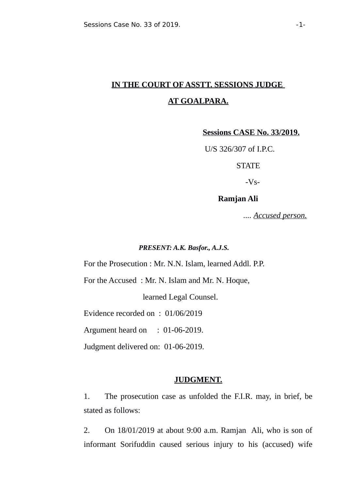# **IN THE COURT OF ASSTT. SESSIONS JUDGE AT GOALPARA.**

**Sessions CASE No. 33/2019.**

U/S 326/307 of I.P.C.

**STATE** 

-Vs-

# **Ramjan Ali**

 *.... Accused person.*

#### *PRESENT: A.K. Basfor., A.J.S.*

For the Prosecution : Mr. N.N. Islam, learned Addl. P.P.

For the Accused : Mr. N. Islam and Mr. N. Hoque,

learned Legal Counsel.

Evidence recorded on : 01/06/2019

Argument heard on : 01-06-2019.

Judgment delivered on: 01-06-2019.

#### **JUDGMENT.**

1. The prosecution case as unfolded the F.I.R. may, in brief, be stated as follows:

2. On 18/01/2019 at about 9:00 a.m. Ramjan Ali, who is son of informant Sorifuddin caused serious injury to his (accused) wife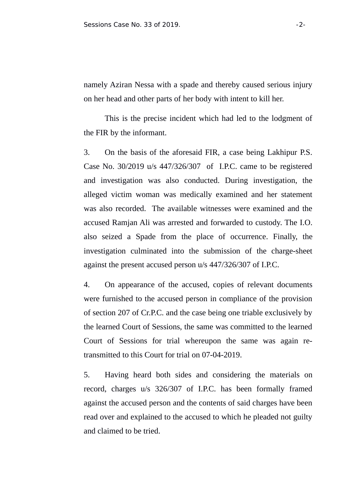namely Aziran Nessa with a spade and thereby caused serious injury on her head and other parts of her body with intent to kill her.

This is the precise incident which had led to the lodgment of the FIR by the informant.

3. On the basis of the aforesaid FIR, a case being Lakhipur P.S. Case No. 30/2019 u/s 447/326/307 of I.P.C. came to be registered and investigation was also conducted. During investigation, the alleged victim woman was medically examined and her statement was also recorded. The available witnesses were examined and the accused Ramjan Ali was arrested and forwarded to custody. The I.O. also seized a Spade from the place of occurrence. Finally, the investigation culminated into the submission of the charge-sheet against the present accused person u/s 447/326/307 of I.P.C.

4. On appearance of the accused, copies of relevant documents were furnished to the accused person in compliance of the provision of section 207 of Cr.P.C. and the case being one triable exclusively by the learned Court of Sessions, the same was committed to the learned Court of Sessions for trial whereupon the same was again retransmitted to this Court for trial on 07-04-2019.

5. Having heard both sides and considering the materials on record, charges u/s 326/307 of I.P.C. has been formally framed against the accused person and the contents of said charges have been read over and explained to the accused to which he pleaded not guilty and claimed to be tried.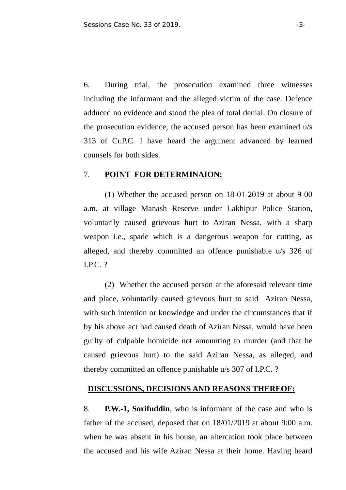6. During trial, the prosecution examined three witnesses including the informant and the alleged victim of the case. Defence adduced no evidence and stood the plea of total denial. On closure of the prosecution evidence, the accused person has been examined u/s 313 of Cr.P.C. I have heard the argument advanced by learned counsels for both sides.

## 7. **POINT FOR DETERMINAION:**

(1) Whether the accused person on 18-01-2019 at about 9-00 a.m. at village Manash Reserve under Lakhipur Police Station, voluntarily caused grievous hurt to Aziran Nessa, with a sharp weapon i.e., spade which is a dangerous weapon for cutting, as alleged, and thereby committed an offence punishable u/s 326 of I.P.C. ?

(2) Whether the accused person at the aforesaid relevant time and place, voluntarily caused grievous hurt to said Aziran Nessa, with such intention or knowledge and under the circumstances that if by his above act had caused death of Aziran Nessa, would have been guilty of culpable homicide not amounting to murder (and that he caused grievous hurt) to the said Aziran Nessa, as alleged, and thereby committed an offence punishable u/s 307 of I.P.C. ?

#### **DISCUSSIONS, DECISIONS AND REASONS THEREOF:**

8. **P.W.-1, Sorifuddin**, who is informant of the case and who is father of the accused, deposed that on 18/01/2019 at about 9:00 a.m. when he was absent in his house, an altercation took place between the accused and his wife Aziran Nessa at their home. Having heard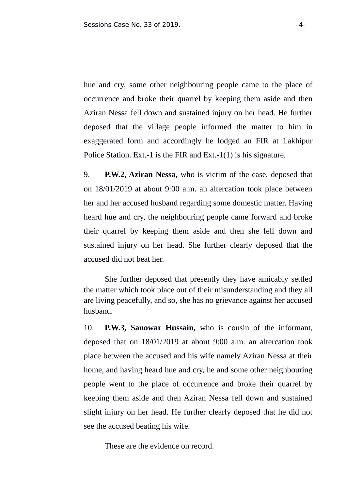hue and cry, some other neighbouring people came to the place of occurrence and broke their quarrel by keeping them aside and then Aziran Nessa fell down and sustained injury on her head. He further deposed that the village people informed the matter to him in exaggerated form and accordingly he lodged an FIR at Lakhipur Police Station. Ext.-1 is the FIR and Ext.-1(1) is his signature.

9. **P.W.2, Aziran Nessa,** who is victim of the case, deposed that on 18/01/2019 at about 9:00 a.m. an altercation took place between her and her accused husband regarding some domestic matter. Having heard hue and cry, the neighbouring people came forward and broke their quarrel by keeping them aside and then she fell down and sustained injury on her head. She further clearly deposed that the accused did not beat her.

 She further deposed that presently they have amicably settled the matter which took place out of their misunderstanding and they all are living peacefully, and so, she has no grievance against her accused husband.

10. **P.W.3, Sanowar Hussain,** who is cousin of the informant, deposed that on 18/01/2019 at about 9:00 a.m. an altercation took place between the accused and his wife namely Aziran Nessa at their home, and having heard hue and cry, he and some other neighbouring people went to the place of occurrence and broke their quarrel by keeping them aside and then Aziran Nessa fell down and sustained slight injury on her head. He further clearly deposed that he did not see the accused beating his wife.

These are the evidence on record.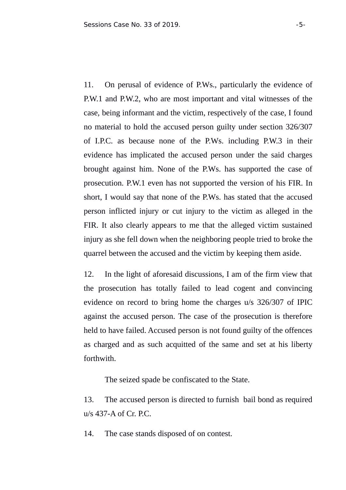11. On perusal of evidence of P.Ws., particularly the evidence of P.W.1 and P.W.2, who are most important and vital witnesses of the case, being informant and the victim, respectively of the case, I found no material to hold the accused person guilty under section 326/307 of I.P.C. as because none of the P.Ws. including P.W.3 in their evidence has implicated the accused person under the said charges brought against him. None of the P.Ws. has supported the case of prosecution. P.W.1 even has not supported the version of his FIR. In short, I would say that none of the P.Ws. has stated that the accused person inflicted injury or cut injury to the victim as alleged in the FIR. It also clearly appears to me that the alleged victim sustained injury as she fell down when the neighboring people tried to broke the quarrel between the accused and the victim by keeping them aside.

12. In the light of aforesaid discussions, I am of the firm view that the prosecution has totally failed to lead cogent and convincing evidence on record to bring home the charges u/s 326/307 of IPIC against the accused person. The case of the prosecution is therefore held to have failed. Accused person is not found guilty of the offences as charged and as such acquitted of the same and set at his liberty forthwith.

The seized spade be confiscated to the State.

13. The accused person is directed to furnish bail bond as required u/s 437-A of Cr. P.C.

14. The case stands disposed of on contest.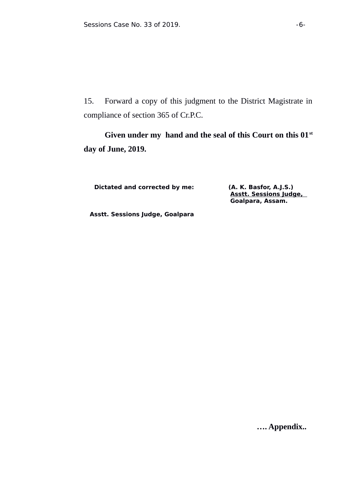15. Forward a copy of this judgment to the District Magistrate in compliance of section 365 of Cr.P.C.

**Given under my hand and the seal of this Court on this 01st day of June, 2019.** 

**Dictated and corrected by me: (A. K. Basfor, A.J.S.)** 

**Asstt. Sessions Judge, Goalpara, Assam.**

 **Asstt. Sessions Judge, Goalpara**

 **…. Appendix..**